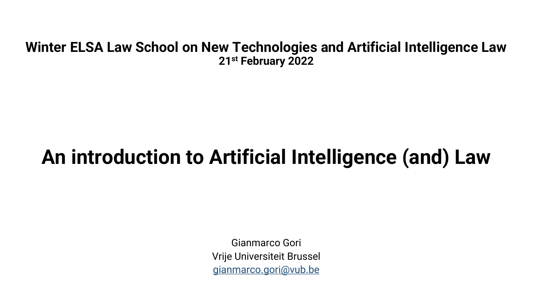#### **Winter ELSA Law School on New Technologies and Artificial Intelligence Law 21st February 2022**

#### **An introduction to Artificial Intelligence (and) Law**

Gianmarco Gori Vrije Universiteit Brussel gianmarco.gori@vub.be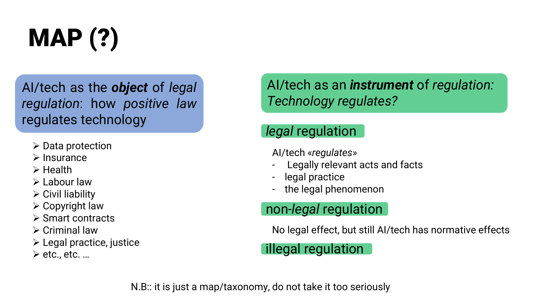

AI/tech as the *object* of *legal regulation*: how *positive law* regulates technology

- ➢ Data protection
- ➢ Insurance
- ➢ Health
- ➢ Labour law
- $\triangleright$  Civil liability
- $\triangleright$  Copyright law
- ➢ Smart contracts
- ➢ Criminal law
- ➢ Legal practice, justice
- $\triangleright$  etc., etc. ...

AI/tech as an *instrument* of *regulation: Technology regulates?*

#### *legal* regulation

AI/tech «*regulates*»

- Legally relevant acts and facts
- legal practice
- the legal phenomenon

#### non-*legal* regulation

No legal effect, but still AI/tech has normative effects

#### illegal regulation

N.B:: it is just a map/taxonomy, do not take it too seriously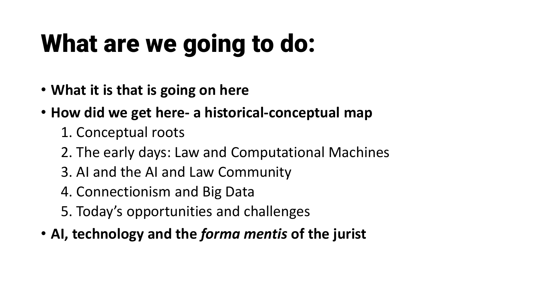# What are we going to do:

- **What it is that is going on here**
- **How did we get here- a historical-conceptual map**
	- 1. Conceptual roots
	- 2. The early days: Law and Computational Machines
	- 3. AI and the AI and Law Community
	- 4. Connectionism and Big Data
	- 5. Today's opportunities and challenges
- **AI, technology and the** *forma mentis* **of the jurist**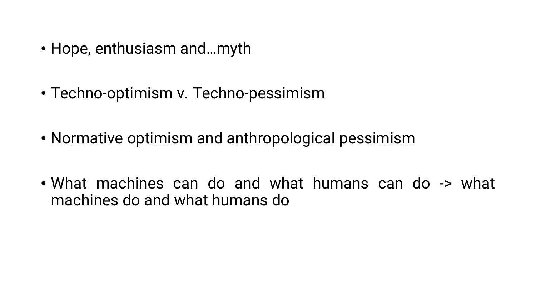- Hope, enthusiasm and…myth
- Techno-optimism v. Techno-pessimism
- Normative optimism and anthropological pessimism
- What machines can do and what humans can do -> what machines do and what humans do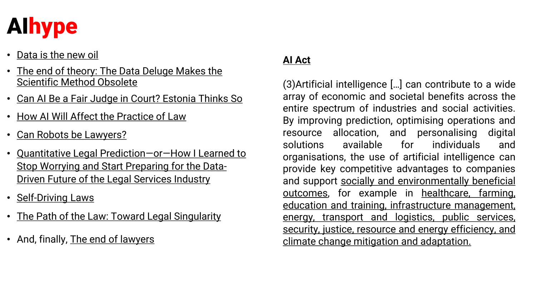

- [Data is the new oil](https://www.wired.com/story/can-ai-be-fair-judge-court-estonia-thinks-so/)
- [The end of theory: The Data Deluge Makes the](https://www.wired.com/story/can-ai-be-fair-judge-court-estonia-thinks-so/) Scientific Method Obsolete
- Can AI Be a Fair Judge in Court? Estonia Thinks So
- How AI Will Affect the Practice of Law
- Can Robots be Lawyers?
- Quantitative Legal Prediction—or—How I Learned to Stop Worrying and Start Preparing for the Data-Driven Future of the Legal Services Industry
- Self-Driving Laws
- The Path of the Law: Toward Legal Singularity
- And, finally, The end of lawyers

#### **AI [Act](https://www.wired.com/story/can-ai-be-fair-judge-court-estonia-thinks-so/)**

(3)Artificial intelligence […] can contribute to a wide array of economic and societal benefits across the entire spectrum of industries and social activities. By improving prediction, optimising operations and resource allocation, and personalising digital solutions available for individuals and organisations, the use of artificial intelligence can provide key competitive advantages to companies and support socially and environmentally beneficial outcomes, for example in healthcare, farming, education and training, infrastructure management, energy, transport and logistics, public services, security, justice, resource and energy efficiency, and climate change mitigation and adaptation.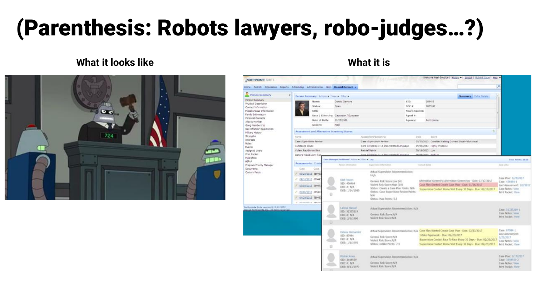## (Parenthesis: Robots lawyers, robo-judges…?)

#### **What it looks like What it is**



| <b>Person Summary</b>                                                                                                                                                                                                                                                                                                                                                                            |                                                    | Person Summary Actions C. View C. Filter of                   |                                                     |                                                                                                       |                   | Summary Estra Datack                                                                                                   | <b>A</b>                                      |
|--------------------------------------------------------------------------------------------------------------------------------------------------------------------------------------------------------------------------------------------------------------------------------------------------------------------------------------------------------------------------------------------------|----------------------------------------------------|---------------------------------------------------------------|-----------------------------------------------------|-------------------------------------------------------------------------------------------------------|-------------------|------------------------------------------------------------------------------------------------------------------------|-----------------------------------------------|
| Person Summary<br>Physical Description<br>Contact Information<br>Macallaneous Information<br>Family Information<br>Personal Contacts<br>Alias & Moniker<br>Gang Membership<br>Sex Offender Registration<br>Hillsbry History<br><b>Birengths</b><br><b>Driberests</b><br>Notes.<br>Events<br>Assigned Users<br>Print Packet<br><b>Mug Shota</b><br>HIPAA<br>Program Priority Manager<br>Documents |                                                    | Name:                                                         | Donald Demore                                       |                                                                                                       | SID:              | 389493                                                                                                                 |                                               |
|                                                                                                                                                                                                                                                                                                                                                                                                  |                                                    | Statusc                                                       | Open                                                |                                                                                                       | DOC #:            | 2883992                                                                                                                |                                               |
|                                                                                                                                                                                                                                                                                                                                                                                                  |                                                    | \$5N:                                                         |                                                     |                                                                                                       | Retail's Cool ID: |                                                                                                                        |                                               |
|                                                                                                                                                                                                                                                                                                                                                                                                  |                                                    |                                                               | Race / Ethnicity: Caucanian / European              |                                                                                                       | Agent #:          |                                                                                                                        |                                               |
|                                                                                                                                                                                                                                                                                                                                                                                                  |                                                    | Date of Birth:                                                | 10/23/1969                                          |                                                                                                       | <b>Agency:</b>    | Northpointe                                                                                                            |                                               |
|                                                                                                                                                                                                                                                                                                                                                                                                  |                                                    | Gendert                                                       | Male:                                               |                                                                                                       |                   |                                                                                                                        |                                               |
|                                                                                                                                                                                                                                                                                                                                                                                                  | g.<br>Assessment and Alternative Screening Scores. |                                                               |                                                     |                                                                                                       |                   |                                                                                                                        |                                               |
|                                                                                                                                                                                                                                                                                                                                                                                                  | Date                                               |                                                               |                                                     |                                                                                                       |                   |                                                                                                                        |                                               |
|                                                                                                                                                                                                                                                                                                                                                                                                  | <b>Trarret</b>                                     |                                                               |                                                     | Assessment/Scrawning                                                                                  |                   | Szire                                                                                                                  |                                               |
|                                                                                                                                                                                                                                                                                                                                                                                                  | Case Supervision Review<br>Substance Abuse         |                                                               |                                                     | Case Supervision Review                                                                               |                   | 05/27/2013 Consider Raising Current Supervision Level.                                                                 |                                               |
|                                                                                                                                                                                                                                                                                                                                                                                                  | Violent Readwarn Risk                              |                                                               |                                                     | Core All Scales 3-11 Incarcerated Language.<br>Pretrial Matrix                                        |                   | 09/09/2013 Highly Probable                                                                                             |                                               |
|                                                                                                                                                                                                                                                                                                                                                                                                  | General Recidivism Risk                            |                                                               |                                                     | DR/16/2013 Low<br>NUMBER NASH<br>Cere 45 Stales S.11 Incarraceted Lanniane                            |                   |                                                                                                                        |                                               |
|                                                                                                                                                                                                                                                                                                                                                                                                  |                                                    |                                                               | Case Manager Davidsound, Artists v. (11hr. v.), Ma- |                                                                                                       |                   |                                                                                                                        | Felal Points: 26.00                           |
|                                                                                                                                                                                                                                                                                                                                                                                                  | Assessments : Creaty                               |                                                               | Person folio marine                                 | Toppervision: Editormation                                                                            |                   | <b>Elektrick Daires</b>                                                                                                | Case sinks                                    |
|                                                                                                                                                                                                                                                                                                                                                                                                  | Clater                                             | Case.                                                         |                                                     |                                                                                                       |                   |                                                                                                                        |                                               |
| Custom Relde                                                                                                                                                                                                                                                                                                                                                                                     | 09/20/2013 389493                                  |                                                               |                                                     | Actual Supervision Recommendation:                                                                    |                   |                                                                                                                        |                                               |
|                                                                                                                                                                                                                                                                                                                                                                                                  | 09/16/2213 389493                                  |                                                               |                                                     | High                                                                                                  |                   |                                                                                                                        | Case Plan: 1/23/2017                          |
|                                                                                                                                                                                                                                                                                                                                                                                                  |                                                    | Olaf Friarin<br>SID: 456464<br>09/15/2211 10949<br>DOC #: N/A |                                                     | General Risk Score:Low (4)<br>Visient Risk Score:High (10)<br>Status: Create a Case Plan Points: N/A. |                   | Alternative Screening Alternative Screenings - Due: 07/17/2017<br>Case Plan Started Create Case Plan - Due: 01/16/2017 | Case: 456464-1                                |
|                                                                                                                                                                                                                                                                                                                                                                                                  |                                                    |                                                               |                                                     |                                                                                                       |                   | Supervision Contact Home Visit Every 30 Days - Due: 62/18/2017                                                         | Last Assessment: 1/2/2017<br>Case Notes: View |
|                                                                                                                                                                                                                                                                                                                                                                                                  | 05/06/2013 389497                                  | e                                                             | DOB: 1/14/1986                                      | Status: Case Supervision Review Points:                                                               |                   |                                                                                                                        | Print Packet: View                            |
|                                                                                                                                                                                                                                                                                                                                                                                                  | 04/29/2013 389493                                  |                                                               |                                                     | N/A <sup>:</sup><br>Shahus! Max Points: 5.5                                                           |                   |                                                                                                                        |                                               |
|                                                                                                                                                                                                                                                                                                                                                                                                  | 2 decreations hands                                |                                                               |                                                     |                                                                                                       |                   |                                                                                                                        |                                               |
| Northpoints Suite version 8-13-10-5152                                                                                                                                                                                                                                                                                                                                                           |                                                    |                                                               | <b>LaToya Harset</b>                                | Actual Supervision Recommendation: N/A.                                                               |                   |                                                                                                                        |                                               |
| \$7013 lockbooksts fre., All debts raped                                                                                                                                                                                                                                                                                                                                                         |                                                    |                                                               | SID: 52335219                                       |                                                                                                       |                   |                                                                                                                        | Cese: 52TI5219-T<br>Cane Notes: View          |
|                                                                                                                                                                                                                                                                                                                                                                                                  |                                                    |                                                               | DOC #: N/A<br>DOB: 2/9/1990                         | General Risk Score:N/A<br>Violent Risk Score:N/A                                                      |                   |                                                                                                                        | <b>Print Packet: View</b>                     |
|                                                                                                                                                                                                                                                                                                                                                                                                  |                                                    | o                                                             |                                                     |                                                                                                       |                   |                                                                                                                        |                                               |
|                                                                                                                                                                                                                                                                                                                                                                                                  |                                                    |                                                               |                                                     |                                                                                                       |                   |                                                                                                                        |                                               |
|                                                                                                                                                                                                                                                                                                                                                                                                  |                                                    |                                                               | Helena Hernandig                                    |                                                                                                       |                   | Actual Supervision Recommendation: N/A Case Plan Started Create Case Plan - Due: 02/23/2017                            | Case: 87984-1                                 |
|                                                                                                                                                                                                                                                                                                                                                                                                  |                                                    |                                                               | SID: 87984                                          | General Risk Score N/A                                                                                |                   | Intake Paperwork - Due: 02/23/2017                                                                                     | Last Assessment:<br>1/25/2017                 |
|                                                                                                                                                                                                                                                                                                                                                                                                  |                                                    |                                                               | DOC #: N/A<br>DOB: 1/1/1995                         | Wolent Risk Score:N/A                                                                                 |                   | Supervision Contact Face To Face Every 30 Days - Due: 02/23/2017                                                       | Case Nobes: View                              |
|                                                                                                                                                                                                                                                                                                                                                                                                  |                                                    | a                                                             |                                                     | Status: Intake Points: 7.5                                                                            |                   | Supervision Contact Home Visit Every 30 Days - Due: 02/23/2017                                                         | Print Packet: View                            |
|                                                                                                                                                                                                                                                                                                                                                                                                  |                                                    |                                                               |                                                     |                                                                                                       |                   |                                                                                                                        |                                               |
|                                                                                                                                                                                                                                                                                                                                                                                                  |                                                    |                                                               | <b>Pookle Jones</b>                                 | Actual Siopervision Recommendation: N/A                                                               |                   |                                                                                                                        | Case Plan: 1/17/2017                          |
|                                                                                                                                                                                                                                                                                                                                                                                                  |                                                    |                                                               | SID: 3448559                                        | General Risk Score: N/A                                                                               |                   |                                                                                                                        | Cage: 3448559-2                               |
|                                                                                                                                                                                                                                                                                                                                                                                                  |                                                    |                                                               | DOC #: N/A<br>DOB: B/13/1977                        | Violent Risk Score:N/A                                                                                |                   |                                                                                                                        | Case Notes: View<br><b>Print Packet: View</b> |
|                                                                                                                                                                                                                                                                                                                                                                                                  |                                                    |                                                               |                                                     |                                                                                                       |                   |                                                                                                                        |                                               |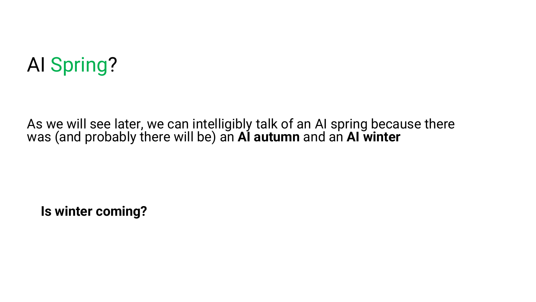### AI Spring?

As we will see later, we can intelligibly talk of an AI spring because there was (and probably there will be) an **AI autumn** and an **AI winter**

**Is winter coming?**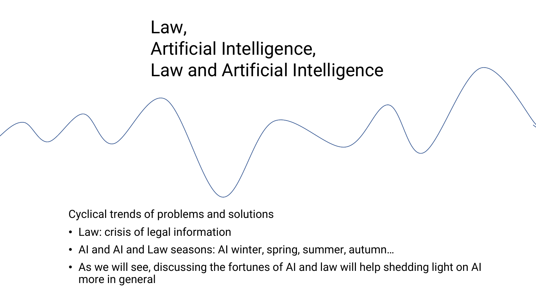#### Law, Artificial Intelligence, Law and Artificial Intelligence

Cyclical trends of problems and solutions

- Law: crisis of legal information
- AI and AI and Law seasons: AI winter, spring, summer, autumn…
- As we will see, discussing the fortunes of AI and law will help shedding light on AI more in general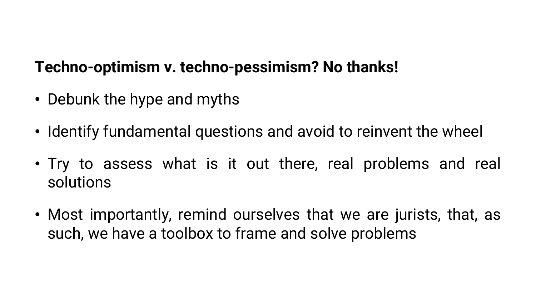#### **Techno-optimism v. techno-pessimism? No thanks!**

- Debunk the hype and myths
- Identify fundamental questions and avoid to reinvent the wheel
- Try to assess what is it out there, real problems and real solutions
- Most importantly, remind ourselves that we are jurists, that, as such, we have a toolbox to frame and solve problems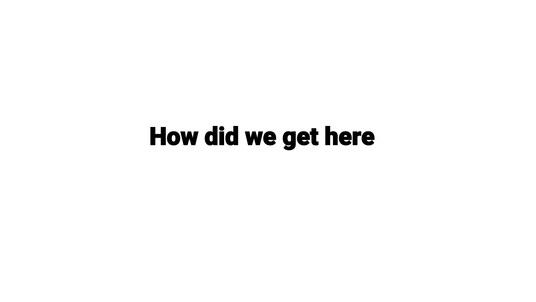## How did we get here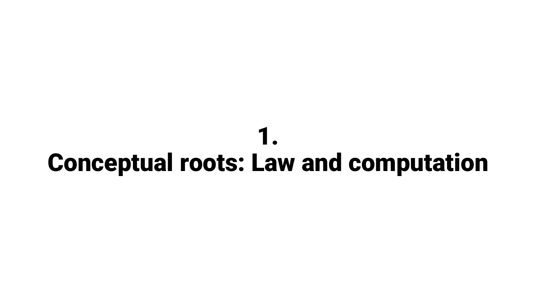### 1. Conceptual roots: Law and computation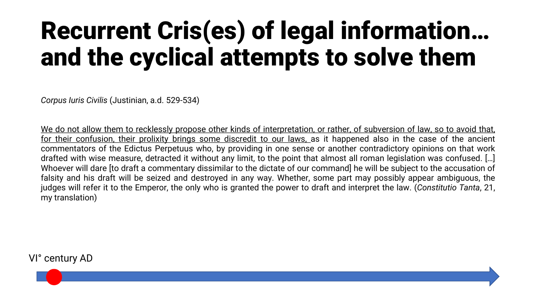## Recurrent Cris(es) of legal information… and the cyclical attempts to solve them

*Corpus Iuris Civilis* (Justinian, a.d. 529-534)

We do not allow them to recklessly propose other kinds of interpretation, or rather, of subversion of law, so to avoid that, for their confusion, their prolixity brings some discredit to our laws, as it happened also in the case of the ancient commentators of the Edictus Perpetuus who, by providing in one sense or another contradictory opinions on that work drafted with wise measure, detracted it without any limit, to the point that almost all roman legislation was confused. […] Whoever will dare [to draft a commentary dissimilar to the dictate of our command] he will be subject to the accusation of falsity and his draft will be seized and destroyed in any way. Whether, some part may possibly appear ambiguous, the judges will refer it to the Emperor, the only who is granted the power to draft and interpret the law. (*Constitutio Tanta*, 21, my translation)

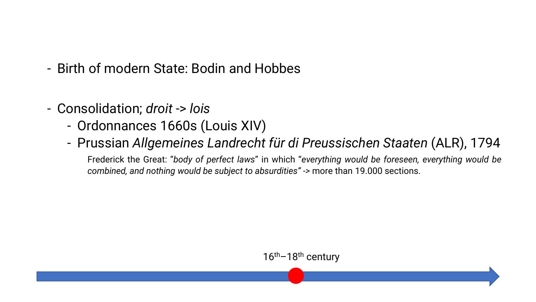- Birth of modern State: Bodin and Hobbes
- Consolidation; *droit* -> *lois*
	- Ordonnances 1660s (Louis XIV)
	- Prussian *Allgemeines Landrecht für di Preussischen Staaten* (ALR), 1794

Frederick the Great: "*body of perfect laws*" in which "*everything would be foreseen, everything would be combined, and nothing would be subject to absurdities" ->* more than 19.000 sections.

16<sup>th</sup>–18<sup>th</sup> century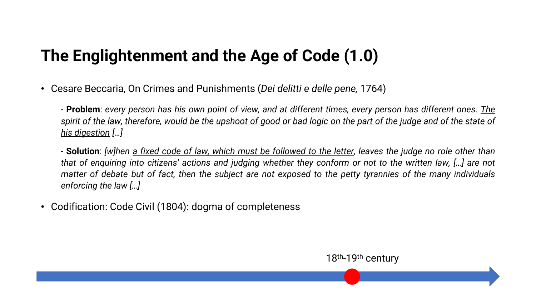#### **The Englightenment and the Age of Code (1.0)**

• Cesare Beccaria, On Crimes and Punishments (*Dei delitti e delle pene,* 1764)

- Problem: every person has his own point of view, and at different times, every person has different ones. The spirit of the law, therefore, would be the upshoot of good or bad logic on the part of the judge and of the state of *his digestion […]*

- Solution: [w]hen a fixed code of law, which must be followed to the letter, leaves the judge no role other than that of enquiring into citizens' actions and judging whether they conform or not to the written law, [...] are not matter of debate but of fact, then the subject are not exposed to the petty tyrannies of the many individuals *enforcing the law […]*

18<sup>th</sup>-19<sup>th</sup> century

• Codification: Code Civil (1804): dogma of completeness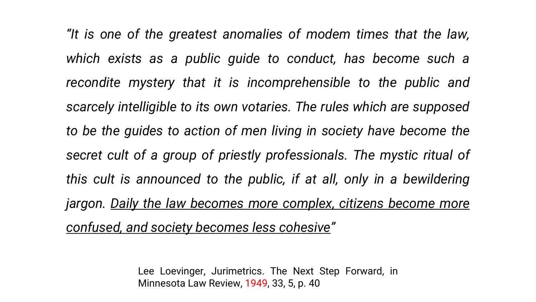*"It is one of the greatest anomalies of modem times that the law, which exists as a public guide to conduct, has become such a recondite mystery that it is incomprehensible to the public and scarcely intelligible to its own votaries. The rules which are supposed to be the guides to action of men living in society have become the secret cult of a group of priestly professionals. The mystic ritual of this cult is announced to the public, if at all, only in a bewildering jargon. Daily the law becomes more complex, citizens become more confused, and society becomes less cohesive"*

> Lee Loevinger, Jurimetrics. The Next Step Forward, in Minnesota Law Review, 1949, 33, 5, p. 40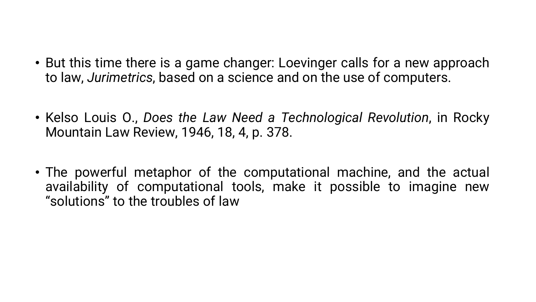- But this time there is a game changer: Loevinger calls for a new approach to law, *Jurimetrics*, based on a science and on the use of computers.
- Kelso Louis O., *Does the Law Need a Technological Revolution*, in Rocky Mountain Law Review, 1946, 18, 4, p. 378.
- The powerful metaphor of the computational machine, and the actual availability of computational tools, make it possible to imagine new "solutions" to the troubles of law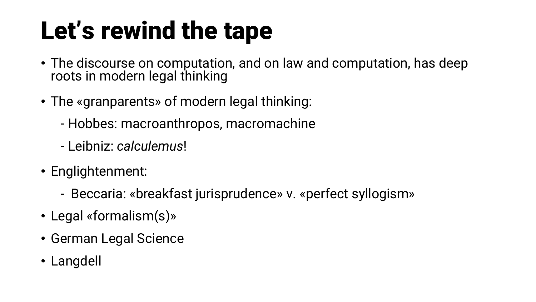## Let's rewind the tape

- The discourse on computation, and on law and computation, has deep roots in modern legal thinking
- The «granparents» of modern legal thinking:
	- Hobbes: macroanthropos, macromachine
	- Leibniz: *calculemus*!
- Englightenment:
	- Beccaria: «breakfast jurisprudence» v. «perfect syllogism»
- Legal «formalism(s)»
- German Legal Science
- Langdell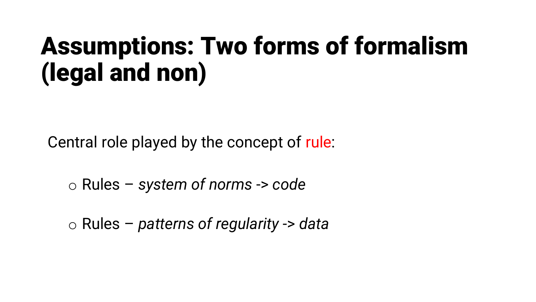## Assumptions: Two forms of formalism (legal and non)

Central role played by the concept of rule:

o Rules – *system of norms* -> *code*

o Rules – *patterns of regularity* -> *data*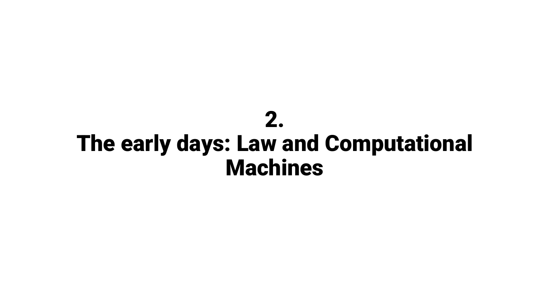### 2. The early days: Law and Computational Machines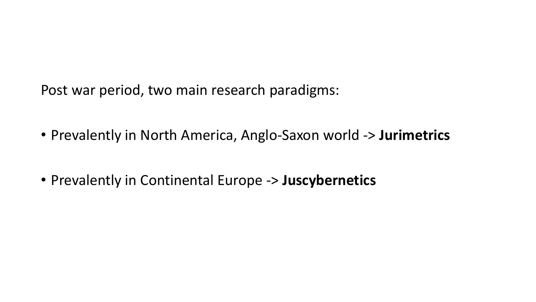Post war period, two main research paradigms:

- Prevalently in North America, Anglo-Saxon world -> **Jurimetrics**
- Prevalently in Continental Europe -> **Juscybernetics**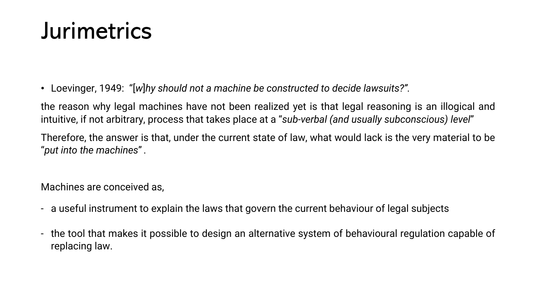### Jurimetrics

• Loevinger, 1949: "[*w*]*hy should not a machine be constructed to decide lawsuits?".*

the reason why legal machines have not been realized yet is that legal reasoning is an illogical and intuitive, if not arbitrary, process that takes place at a "*sub-verbal (and usually subconscious) level*"

Therefore, the answer is that, under the current state of law, what would lack is the very material to be "*put into the machines*".

Machines are conceived as,

- a useful instrument to explain the laws that govern the current behaviour of legal subjects
- the tool that makes it possible to design an alternative system of behavioural regulation capable of replacing law.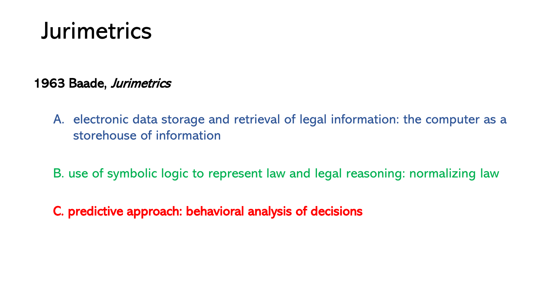### Jurimetrics

1963 Baade, Jurimetrics

- A. electronic data storage and retrieval of legal information: the computer as a storehouse of information
- B. use of symbolic logic to represent law and legal reasoning: normalizing law
- C. predictive approach: behavioral analysis of decisions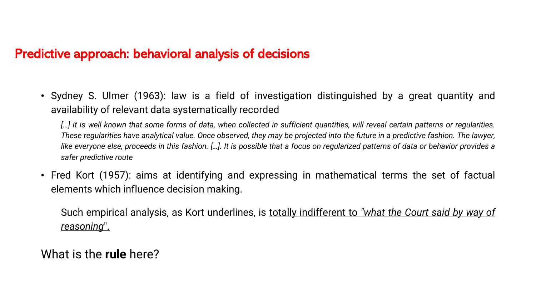#### Predictive approach: behavioral analysis of decisions

• Sydney S. Ulmer (1963): law is a field of investigation distinguished by a great quantity and availability of relevant data systematically recorded

[...] it is well known that some forms of data, when collected in sufficient quantities, will reveal certain patterns or regularities. These regularities have analytical value. Once observed, they may be projected into the future in a predictive fashion. The lawyer, like everyone else, proceeds in this fashion. [...]. It is possible that a focus on regularized patterns of data or behavior provides a *safer predictive route*

• Fred Kort (1957): aims at identifying and expressing in mathematical terms the set of factual elements which influence decision making.

Such empirical analysis, as Kort underlines, is totally indifferent to *"what the Court said by way of reasoning*".

What is the **rule** here?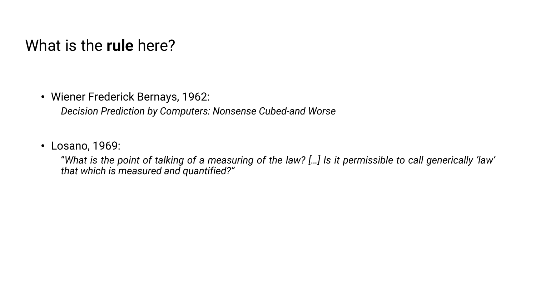#### What is the **rule** here?

• Wiener Frederick Bernays, 1962:

*Decision Prediction by Computers: Nonsense Cubed-and Worse*

• Losano, 1969:

"What is the point of talking of a measuring of the law? [ ... ] Is it permissible to call generically 'law' *that which is measured and quantified?"*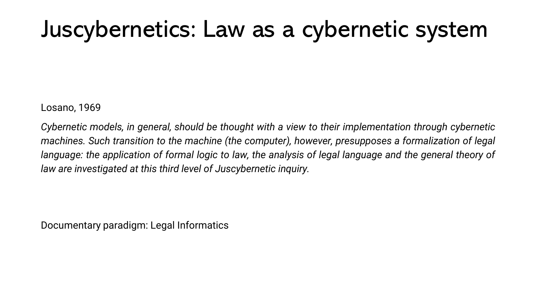### Juscybernetics: Law as a cybernetic system

Losano, 1969

*Cybernetic models, in general, should be thought with a view to their implementation through cybernetic machines. Such transition to the machine (the computer), however, presupposes a formalization of legal* language: the application of formal logic to law, the analysis of legal language and the general theory of *law are investigated at this third level of Juscybernetic inquiry.*

Documentary paradigm: Legal Informatics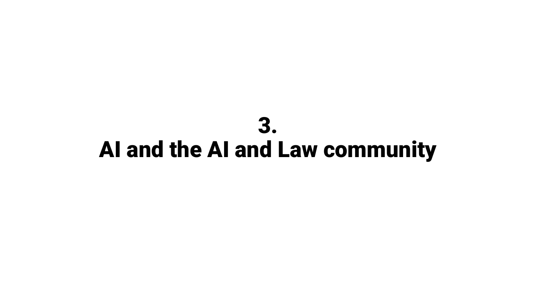### 3. AI and the AI and Law community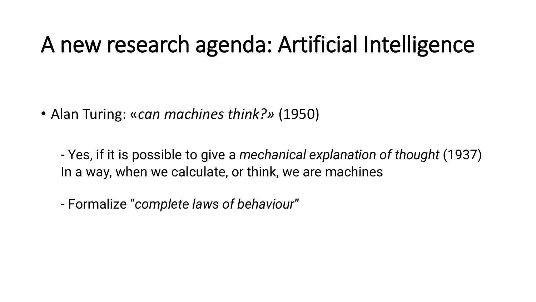### A new research agenda: Artificial Intelligence

• Alan Turing: «*can machines think?»* (1950)

- Yes, if it is possible to give a *mechanical explanation of thought* (1937) In a way, when we calculate, or think, we are machines

- Formalize "*complete laws of behaviour*"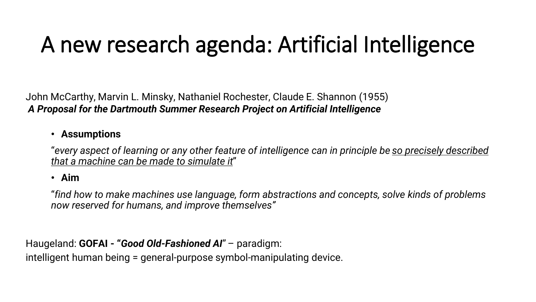## A new research agenda: Artificial Intelligence

John McCarthy, Marvin L. Minsky, Nathaniel Rochester, Claude E. Shannon (1955) *A Proposal for the Dartmouth Summer Research Project on Artificial Intelligence*

#### • **Assumptions**

"*every aspect of learning or any other feature of intelligence can in principle be so precisely described that a machine can be made to simulate it*"

#### • **Aim**

"*find how to make machines use language, form abstractions and concepts, solve kinds of problems now reserved for humans, and improve themselves"*

Haugeland: **GOFAI - "***Good Old-Fashioned AI*"– paradigm:

intelligent human being = general-purpose symbol-manipulating device.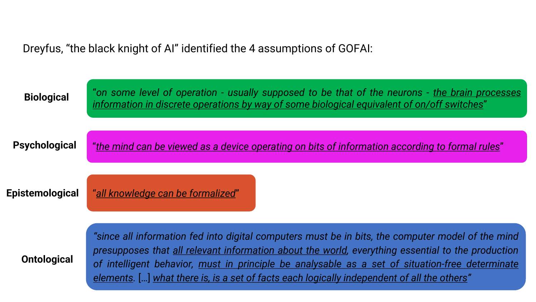Dreyfus, "the black knight of AI" identified the 4 assumptions of GOFAI:

| <b>Biological</b>    | "on some level of operation - usually supposed to be that of the neurons - the brain processes<br>information in discrete operations by way of some biological equivalent of on/off switches"                                                                                                                                                                                                            |  |  |  |  |  |
|----------------------|----------------------------------------------------------------------------------------------------------------------------------------------------------------------------------------------------------------------------------------------------------------------------------------------------------------------------------------------------------------------------------------------------------|--|--|--|--|--|
| <b>Psychological</b> | "the mind can be viewed as a device operating on bits of information according to formal rules"                                                                                                                                                                                                                                                                                                          |  |  |  |  |  |
| Epistemological      | "all knowledge can be formalized"                                                                                                                                                                                                                                                                                                                                                                        |  |  |  |  |  |
| <b>Ontological</b>   | "since all information fed into digital computers must be in bits, the computer model of the mind<br>presupposes that all relevant information about the world, everything essential to the production<br>of intelligent behavior, must in principle be analysable as a set of situation-free determinate<br>elements. [] what there is, is a set of facts each logically independent of all the others" |  |  |  |  |  |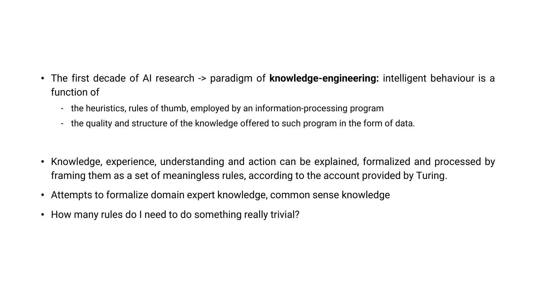- The first decade of AI research -> paradigm of **knowledge-engineering:** intelligent behaviour is a function of
	- the heuristics, rules of thumb, employed by an information-processing program
	- the quality and structure of the knowledge offered to such program in the form of data.
- Knowledge, experience, understanding and action can be explained, formalized and processed by framing them as a set of meaningless rules, according to the account provided by Turing.
- Attempts to formalize domain expert knowledge, common sense knowledge
- How many rules do I need to do something really trivial?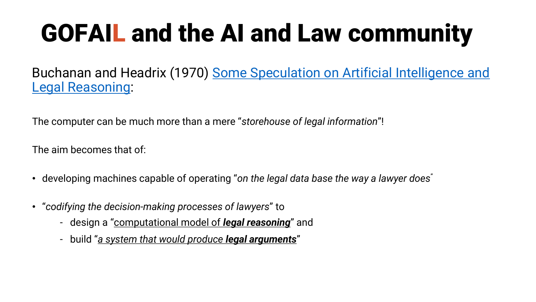# GOFAIL and the AI and Law community

Buchanan and Headrix [\(1970\) Some Speculation on Artificial](https://digitalcommons.law.buffalo.edu/journal_articles/867/) Intelligence and Legal Reasoning:

The computer can be much more than a mere "*storehouse of legal information*"!

The aim becomes that of:

- developing machines capable of operating "*on the legal data base the way a lawyer does*"
- "*codifying the decision-making processes of lawyers*" to
	- design a "computational model of *legal reasoning*" and
	- build "*a system that would produce legal arguments*"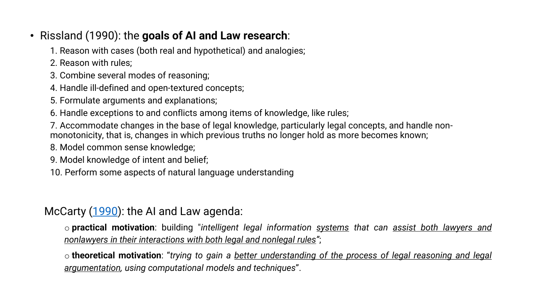- Rissland (1990): the **goals of AI and Law research**:
	- 1. Reason with cases (both real and hypothetical) and analogies;
	- 2. Reason with rules;
	- 3. Combine several modes of reasoning;
	- 4. Handle ill-defined and open-textured concepts;
	- 5. Formulate arguments and explanations;
	- 6. Handle exceptions to and conflicts among items of knowledge, like rules;
	- 7. Accommodate changes in the base of legal knowledge, particularly legal concepts, and handle nonmonotonicity, that is, changes in which previous truths no longer hold as more becomes known;
	- 8. Model common sense knowledge;
	- 9. Model knowledge of intent and belief;
	- 10. Perform some aspects of natural language understanding

McCarty ([1990\)](https://onlinelibrary.wiley.com/doi/abs/10.1111/j.1467-9337.1990.tb00057.x): the AI and Law agenda:

o **practical motivation**: building "*intelligent legal information systems that can assist both lawyers and nonlawyers in their interactions with both legal and nonlegal rules"*;

o **theoretical motivation**: "*trying to gain a better understanding of the process of legal reasoning and legal argumentation, using computational models and techniques*".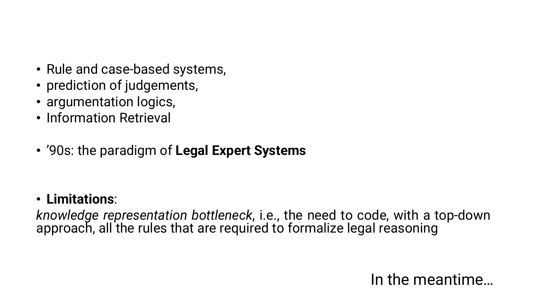- Rule and case-based systems,
- prediction of judgements,
- argumentation logics,
- Information Retrieval
- '90s: the paradigm of **Legal Expert Systems**

• **Limitations**:

*knowledge representation bottleneck*, i.e., the need to code, with a top-down approach, all the rules that are required to formalize legal reasoning

#### In the meantime…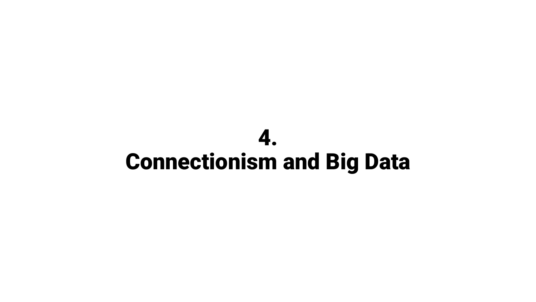### 4. Connectionism and Big Data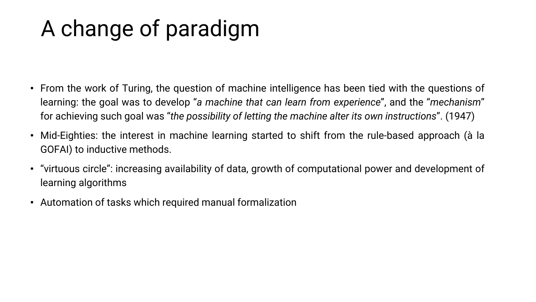### A change of paradigm

- From the work of Turing, the question of machine intelligence has been tied with the questions of learning: the goal was to develop "*a machine that can learn from experience*", and the "*mechanism*" for achieving such goal was "*the possibility of letting the machine alter its own instructions*". (1947)
- Mid-Eighties: the interest in machine learning started to shift from the rule-based approach (à la GOFAI) to inductive methods.
- "virtuous circle": increasing availability of data, growth of computational power and development of learning algorithms
- Automation of tasks which required manual formalization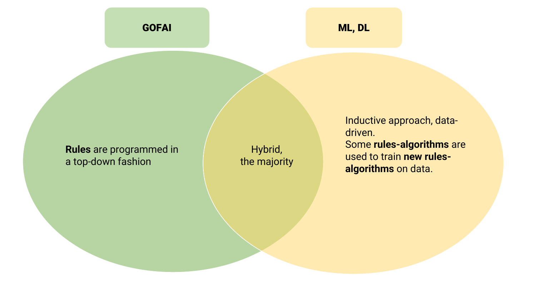#### **Rules** are programmed in a top-down fashion

Hybrid, the majority Inductive approach, datadriven. Some **rules-algorithms** are used to train **new rulesalgorithms** on data.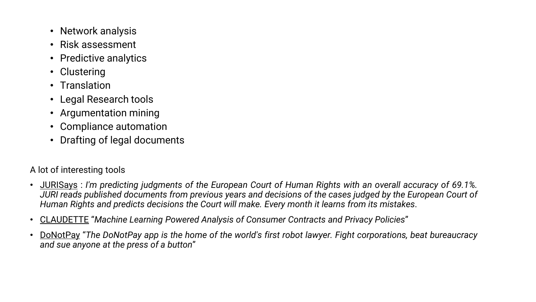- Network analysis
- Risk assessment
- Predictive analytics
- Clustering
- Translation
- Legal Research tools
- Argumentation mining
- Compliance automation
- Drafting of legal documents

#### A lot of interesting tools

- [JURISays](https://www.jurisays.com/) : *I'm predicting judgments of the European Court of Human Rights with an overall accuracy of 69.1%.* JURI reads published documents from previous years and decisions of the cases judged by the European Court of *Human Rights and predicts decisions the Court will make. Every month it learns from its mistakes*.
- [CLAUDETTE](http://claudette.eui.eu/) "*Machine Learning Powered Analysis of Consumer Contracts and Privacy Policies*"
- [DoNotPay](https://donotpay.com/) "*The DoNotPay app is the home of the world's first robot lawyer. Fight corporations, beat bureaucracy and sue anyone at the press of a button*"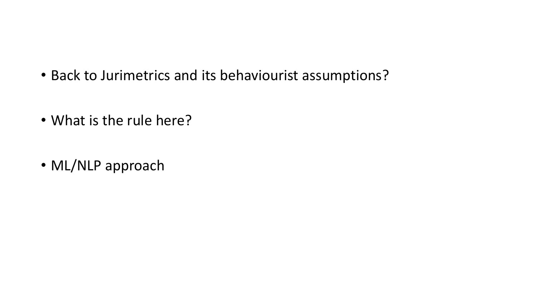- Back to Jurimetrics and its behaviourist assumptions?
- What is the rule here?
- ML/NLP approach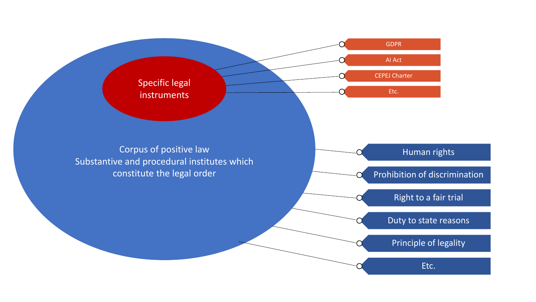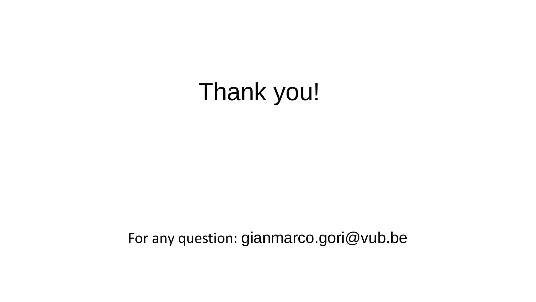Thank you!

For any question: gianmarco.gori@vub.be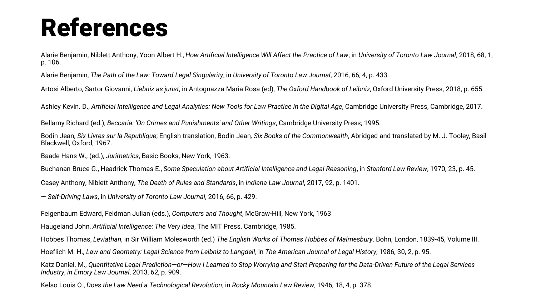## References

Alarie Benjamin, Niblett Anthony, Yoon Albert H., *How Artificial Intelligence Will Affect the Practice of Law*, in *University of Toronto Law Journal*, 2018, 68, 1, p. 106.

Alarie Benjamin, *The Path of the Law: Toward Legal Singularity*, in *University of Toronto Law Journal*, 2016, 66, 4, p. 433.

Artosi Alberto, Sartor Giovanni, *Liebniz as jurist*, in Antognazza Maria Rosa (ed), *The Oxford Handbook of Leibniz*, Oxford University Press, 2018, p. 655.

Ashley Kevin. D., Artificial Intelligence and Legal Analytics: New Tools for Law Practice in the Digital Age, Cambridge University Press, Cambridge, 2017.

Bellamy Richard (ed.), *Beccaria: 'On Crimes and Punishments' and Other Writings*, Cambridge University Press; 1995.

Bodin Jean, *Six Livres sur la Republique*; English translation, Bodin Jean*, Six Books of the Commonwealth*, Abridged and translated by M. J. Tooley, Basil Blackwell, Oxford, 1967.

Baade Hans W., (ed.), *Jurimetrics*, Basic Books, New York, 1963.

Buchanan Bruce G., Headrick Thomas E., *Some Speculation about Artificial Intelligence and Legal Reasoning*, in *Stanford Law Review*, 1970, 23, p. 45.

Casey Anthony, Niblett Anthony, *The Death of Rules and Standards*, in *Indiana Law Journal*, 2017, 92, p. 1401.

— *Self-Driving Laws*, in *University of Toronto Law Journal*, 2016, 66, p. 429.

Feigenbaum Edward, Feldman Julian (eds.), *Computers and Thought*, McGraw-Hill, New York, 1963

Haugeland John, *Artificial Intelligence: The Very Idea*, The MIT Press, Cambridge, 1985.

Hobbes Thomas, *Leviathan*, in Sir William Molesworth (ed.) *The English Works of Thomas Hobbes of Malmesbury*. Bohn, London, 1839-45, Volume III.

Hoeflich M. H., *Law and Geometry: Legal Science from Leibniz to Langdell*, in *The American Journal of Legal History*, 1986, 30, 2, p. 95.

Katz Daniel. M., *Quantitative Legal Prediction—or—How I Learned to Stop Worrying and Start Preparing for the Data-Driven Future of the Legal Services Industry*, *in Emory Law Journal*, 2013, 62, p. 909.

Kelso Louis O., *Does the Law Need a Technological Revolution*, in *Rocky Mountain Law Review*, 1946, 18, 4, p. 378.